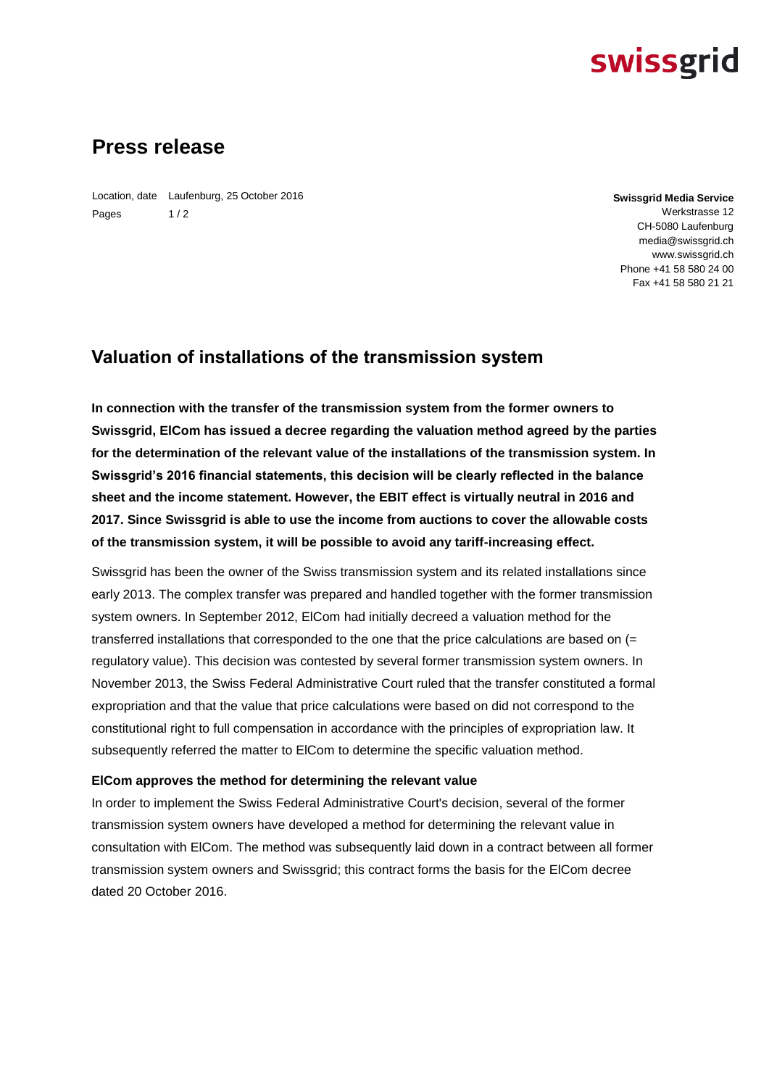# **swissgrid**

# **Press release**

Location, date Laufenburg, 25 October 2016 Pages  $1/2$ 

**Swissgrid Media Service** Werkstrasse 12 CH-5080 Laufenburg media@swissgrid.ch www.swissgrid.ch Phone +41 58 580 24 00 Fax +41 58 580 21 21

## **Valuation of installations of the transmission system**

**In connection with the transfer of the transmission system from the former owners to Swissgrid, ElCom has issued a decree regarding the valuation method agreed by the parties for the determination of the relevant value of the installations of the transmission system. In Swissgrid's 2016 financial statements, this decision will be clearly reflected in the balance sheet and the income statement. However, the EBIT effect is virtually neutral in 2016 and 2017. Since Swissgrid is able to use the income from auctions to cover the allowable costs of the transmission system, it will be possible to avoid any tariff-increasing effect.**

Swissgrid has been the owner of the Swiss transmission system and its related installations since early 2013. The complex transfer was prepared and handled together with the former transmission system owners. In September 2012, ElCom had initially decreed a valuation method for the transferred installations that corresponded to the one that the price calculations are based on (= regulatory value). This decision was contested by several former transmission system owners. In November 2013, the Swiss Federal Administrative Court ruled that the transfer constituted a formal expropriation and that the value that price calculations were based on did not correspond to the constitutional right to full compensation in accordance with the principles of expropriation law. It subsequently referred the matter to ElCom to determine the specific valuation method.

### **ElCom approves the method for determining the relevant value**

In order to implement the Swiss Federal Administrative Court's decision, several of the former transmission system owners have developed a method for determining the relevant value in consultation with ElCom. The method was subsequently laid down in a contract between all former transmission system owners and Swissgrid; this contract forms the basis for the ElCom decree dated 20 October 2016.